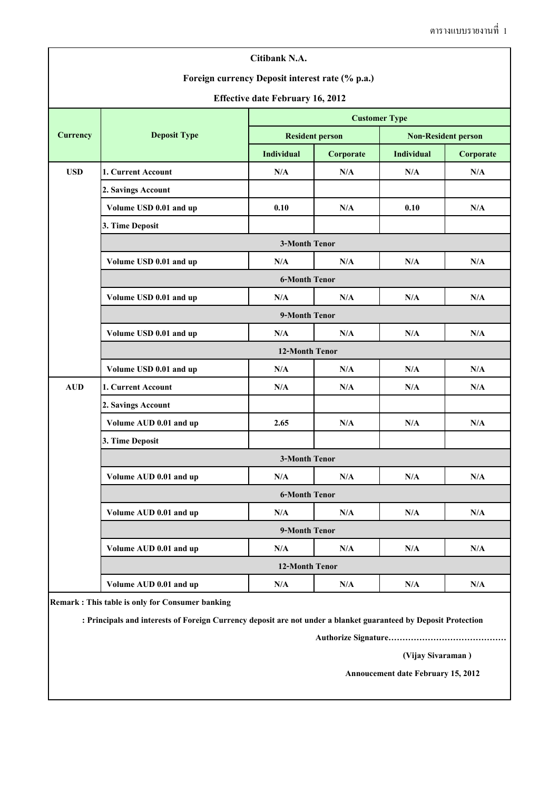| Citibank N.A.                                   |                                                 |                        |                         |                            |           |  |  |  |  |
|-------------------------------------------------|-------------------------------------------------|------------------------|-------------------------|----------------------------|-----------|--|--|--|--|
| Foreign currency Deposit interest rate (% p.a.) |                                                 |                        |                         |                            |           |  |  |  |  |
| <b>Effective date February 16, 2012</b>         |                                                 |                        |                         |                            |           |  |  |  |  |
|                                                 |                                                 | <b>Customer Type</b>   |                         |                            |           |  |  |  |  |
| <b>Currency</b>                                 | <b>Deposit Type</b>                             | <b>Resident person</b> |                         | <b>Non-Resident person</b> |           |  |  |  |  |
|                                                 |                                                 | <b>Individual</b>      | Corporate               | <b>Individual</b>          | Corporate |  |  |  |  |
| <b>USD</b>                                      | 1. Current Account                              | N/A                    | N/A                     | N/A                        | N/A       |  |  |  |  |
|                                                 | 2. Savings Account                              |                        |                         |                            |           |  |  |  |  |
|                                                 | Volume USD 0.01 and up                          | 0.10                   | N/A                     | 0.10                       | N/A       |  |  |  |  |
|                                                 | 3. Time Deposit                                 |                        |                         |                            |           |  |  |  |  |
|                                                 | <b>3-Month Tenor</b>                            |                        |                         |                            |           |  |  |  |  |
|                                                 | Volume USD 0.01 and up                          | N/A                    | N/A                     | N/A                        | N/A       |  |  |  |  |
|                                                 | <b>6-Month Tenor</b>                            |                        |                         |                            |           |  |  |  |  |
|                                                 | Volume USD 0.01 and up                          | N/A                    | N/A                     | N/A                        | N/A       |  |  |  |  |
|                                                 | 9-Month Tenor                                   |                        |                         |                            |           |  |  |  |  |
|                                                 | Volume USD 0.01 and up                          | N/A                    | N/A                     | N/A                        | N/A       |  |  |  |  |
|                                                 | 12-Month Tenor                                  |                        |                         |                            |           |  |  |  |  |
|                                                 | Volume USD 0.01 and up                          | N/A                    | N/A                     | N/A                        | N/A       |  |  |  |  |
| <b>AUD</b>                                      | 1. Current Account                              | N/A                    | N/A                     | N/A                        | N/A       |  |  |  |  |
|                                                 | 2. Savings Account                              |                        |                         |                            |           |  |  |  |  |
|                                                 | Volume AUD 0.01 and up                          | 2.65                   | $\mathbf{N}/\mathbf{A}$ | N/A                        | N/A       |  |  |  |  |
|                                                 | 3. Time Deposit                                 |                        |                         |                            |           |  |  |  |  |
|                                                 | <b>3-Month Tenor</b>                            |                        |                         |                            |           |  |  |  |  |
|                                                 | Volume AUD 0.01 and up                          | N/A                    | N/A                     | N/A                        | N/A       |  |  |  |  |
|                                                 | <b>6-Month Tenor</b>                            |                        |                         |                            |           |  |  |  |  |
|                                                 | Volume AUD 0.01 and up                          | N/A                    | N/A                     | N/A                        | N/A       |  |  |  |  |
|                                                 | 9-Month Tenor                                   |                        |                         |                            |           |  |  |  |  |
|                                                 | Volume AUD 0.01 and up                          | N/A                    | N/A                     | N/A                        | N/A       |  |  |  |  |
|                                                 | 12-Month Tenor                                  |                        |                         |                            |           |  |  |  |  |
|                                                 | Volume AUD 0.01 and up                          | N/A                    | N/A                     | N/A                        | N/A       |  |  |  |  |
|                                                 | Remark: This table is only for Consumer banking |                        |                         |                            |           |  |  |  |  |

 **: Principals and interests of Foreign Currency deposit are not under a blanket guaranteed by Deposit Protection** 

**Authorize Signature……………………………………**

 **(Vijay Sivaraman )**

**Annoucement date February 15, 2012**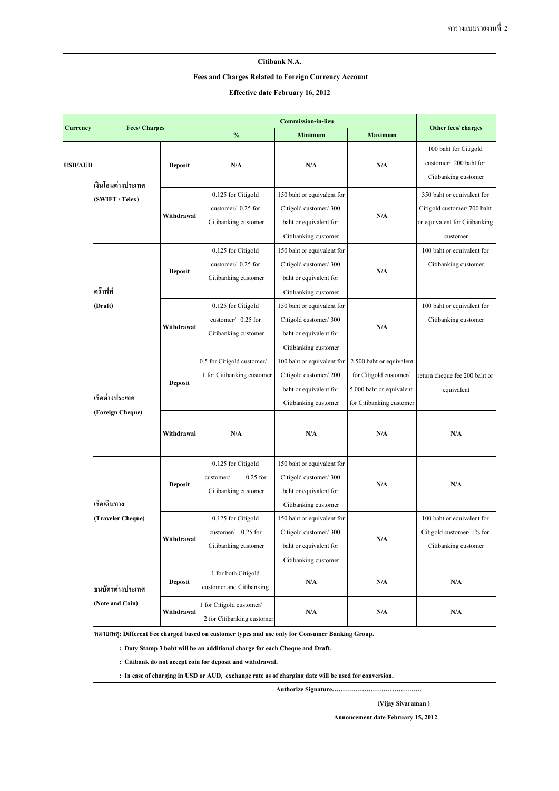| Citibank N.A.                                                  |                                     |                |                                                                                                                                                                                                                                                                                                                                                     |                                                                                                       |                                                                                                            |                                                                                                       |  |  |
|----------------------------------------------------------------|-------------------------------------|----------------|-----------------------------------------------------------------------------------------------------------------------------------------------------------------------------------------------------------------------------------------------------------------------------------------------------------------------------------------------------|-------------------------------------------------------------------------------------------------------|------------------------------------------------------------------------------------------------------------|-------------------------------------------------------------------------------------------------------|--|--|
| <b>Fees and Charges Related to Foreign Currency Account</b>    |                                     |                |                                                                                                                                                                                                                                                                                                                                                     |                                                                                                       |                                                                                                            |                                                                                                       |  |  |
| <b>Effective date February 16, 2012</b>                        |                                     |                |                                                                                                                                                                                                                                                                                                                                                     |                                                                                                       |                                                                                                            |                                                                                                       |  |  |
|                                                                |                                     |                |                                                                                                                                                                                                                                                                                                                                                     |                                                                                                       |                                                                                                            |                                                                                                       |  |  |
| <b>Currency</b>                                                | <b>Fees/Charges</b>                 |                | $\frac{0}{0}$<br><b>Minimum</b>                                                                                                                                                                                                                                                                                                                     |                                                                                                       | <b>Maximum</b>                                                                                             | Other fees/ charges                                                                                   |  |  |
| <b>USD/AUD</b>                                                 | ่เงินโอนต่างประเทศ                  | <b>Deposit</b> | N/A                                                                                                                                                                                                                                                                                                                                                 | N/A                                                                                                   | N/A                                                                                                        | 100 baht for Citigold<br>customer/200 baht for<br>Citibanking customer                                |  |  |
|                                                                | (SWIFT / Telex)                     | Withdrawal     | 0.125 for Citigold<br>customer/ 0.25 for<br>Citibanking customer                                                                                                                                                                                                                                                                                    | 150 baht or equivalent for<br>Citigold customer/300<br>baht or equivalent for<br>Citibanking customer | N/A                                                                                                        | 350 baht or equivalent for<br>Citigold customer/700 baht<br>or equivalent for Citibanking<br>customer |  |  |
|                                                                | ิดร๊าฟท์                            | <b>Deposit</b> | 0.125 for Citigold<br>customer/ 0.25 for<br>Citibanking customer                                                                                                                                                                                                                                                                                    | 150 baht or equivalent for<br>Citigold customer/300<br>baht or equivalent for<br>Citibanking customer | N/A                                                                                                        | 100 baht or equivalent for<br>Citibanking customer                                                    |  |  |
|                                                                | (Draft)                             | Withdrawal     | 0.125 for Citigold<br>customer/ 0.25 for<br>Citibanking customer                                                                                                                                                                                                                                                                                    | 150 baht or equivalent for<br>Citigold customer/300<br>baht or equivalent for<br>Citibanking customer | N/A                                                                                                        | 100 baht or equivalent for<br>Citibanking customer                                                    |  |  |
|                                                                | เช็คต่างประเทศ<br>(Foreign Cheque)  | <b>Deposit</b> | 0.5 for Citigold customer/<br>1 for Citibanking customer                                                                                                                                                                                                                                                                                            | 100 baht or equivalent for<br>Citigold customer/200<br>baht or equivalent for<br>Citibanking customer | 2,500 baht or equivalent<br>for Citigold customer/<br>5,000 baht or equivalent<br>for Citibanking customer | return cheque fee 200 baht or<br>equivalent                                                           |  |  |
|                                                                |                                     | Withdrawal     | N/A                                                                                                                                                                                                                                                                                                                                                 | N/A                                                                                                   | N/A                                                                                                        | N/A                                                                                                   |  |  |
|                                                                | เช็คเดินทาง<br>(Traveler Cheque)    | <b>Deposit</b> | 0.125 for Citigold<br>$0.25$ for<br>customer/<br>Citibanking customer                                                                                                                                                                                                                                                                               | 150 baht or equivalent for<br>Citigold customer/300<br>baht or equivalent for<br>Citibanking customer | N/A                                                                                                        | N/A                                                                                                   |  |  |
|                                                                |                                     | Withdrawal     | 0.125 for Citigold<br>$0.25$ for<br>customer/<br>Citibanking customer                                                                                                                                                                                                                                                                               | 150 baht or equivalent for<br>Citigold customer/300<br>baht or equivalent for<br>Citibanking customer | N/A                                                                                                        | 100 baht or equivalent for<br>Citigold customer/ 1% for<br>Citibanking customer                       |  |  |
|                                                                | ธนบัตรต่างประเทศ<br>(Note and Coin) | <b>Deposit</b> | 1 for both Citigold<br>customer and Citibanking                                                                                                                                                                                                                                                                                                     | N/A                                                                                                   | N/A                                                                                                        | N/A                                                                                                   |  |  |
|                                                                |                                     | Withdrawal     | 1 for Citigold customer/<br>2 for Citibanking customer                                                                                                                                                                                                                                                                                              | N/A                                                                                                   | N/A                                                                                                        | N/A                                                                                                   |  |  |
|                                                                |                                     |                | หมายเหตุ: Different Fee charged based on customer types and use only for Consumer Banking Group.<br>: Duty Stamp 3 baht will be an additional charge for each Cheque and Draft.<br>: Citibank do not accept coin for deposit and withdrawal.<br>: In case of charging in USD or AUD, exchange rate as of charging date will be used for conversion. |                                                                                                       |                                                                                                            |                                                                                                       |  |  |
| (Vijay Sivaraman)<br><b>Annoucement date February 15, 2012</b> |                                     |                |                                                                                                                                                                                                                                                                                                                                                     |                                                                                                       |                                                                                                            |                                                                                                       |  |  |